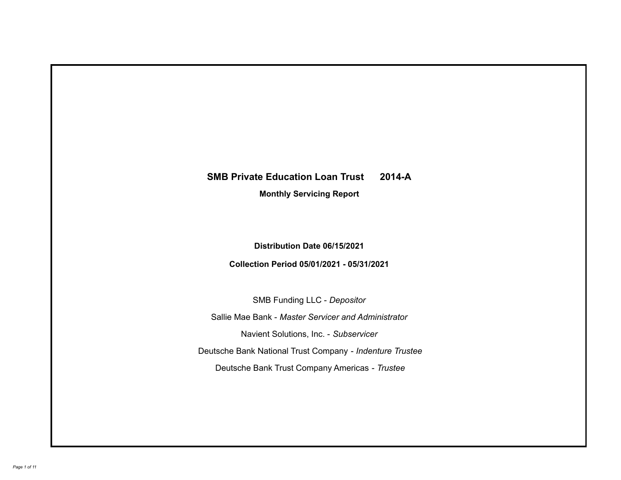## **SMB Private Education Loan Trust 2014-A**

**Monthly Servicing Report**

**Distribution Date 06/15/2021**

**Collection Period 05/01/2021 - 05/31/2021**

SMB Funding LLC - *Depositor*

Sallie Mae Bank - *Master Servicer and Administrator*

Navient Solutions, Inc. - *Subservicer*

Deutsche Bank National Trust Company - *Indenture Trustee*

Deutsche Bank Trust Company Americas - *Trustee*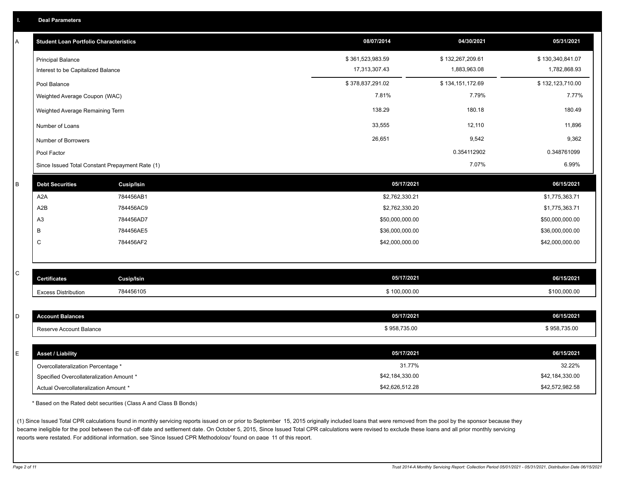| A            | <b>Student Loan Portfolio Characteristics</b>   |                   | 08/07/2014       | 04/30/2021       | 05/31/2021       |
|--------------|-------------------------------------------------|-------------------|------------------|------------------|------------------|
|              | <b>Principal Balance</b>                        |                   | \$361,523,983.59 | \$132,267,209.61 | \$130,340,841.07 |
|              | Interest to be Capitalized Balance              |                   | 17,313,307.43    | 1,883,963.08     | 1,782,868.93     |
|              | Pool Balance                                    |                   | \$378,837,291.02 | \$134,151,172.69 | \$132,123,710.00 |
|              | Weighted Average Coupon (WAC)                   |                   | 7.81%            | 7.79%            | 7.77%            |
|              | Weighted Average Remaining Term                 |                   | 138.29           | 180.18           | 180.49           |
|              | Number of Loans                                 |                   | 33,555           | 12,110           | 11,896           |
|              | Number of Borrowers                             |                   | 26,651           | 9,542            | 9,362            |
|              | Pool Factor                                     |                   |                  | 0.354112902      | 0.348761099      |
|              | Since Issued Total Constant Prepayment Rate (1) |                   |                  | 7.07%            | 6.99%            |
| B            | <b>Debt Securities</b>                          | <b>Cusip/Isin</b> | 05/17/2021       |                  | 06/15/2021       |
|              | A <sub>2</sub> A                                | 784456AB1         | \$2,762,330.21   |                  | \$1,775,363.71   |
|              | A2B                                             | 784456AC9         | \$2,762,330.20   |                  | \$1,775,363.71   |
|              | A <sub>3</sub>                                  | 784456AD7         | \$50,000,000.00  |                  | \$50,000,000.00  |
|              | B                                               | 784456AE5         | \$36,000,000.00  |                  | \$36,000,000.00  |
|              | $\mathsf{C}$                                    | 784456AF2         | \$42,000,000.00  |                  | \$42,000,000.00  |
|              |                                                 |                   |                  |                  |                  |
| $\mathtt{C}$ |                                                 |                   |                  |                  |                  |
|              | <b>Certificates</b>                             | Cusip/Isin        | 05/17/2021       |                  | 06/15/2021       |
|              | <b>Excess Distribution</b>                      | 784456105         | \$100,000.00     |                  | \$100,000.00     |
| D            |                                                 |                   | 05/17/2021       |                  | 06/15/2021       |
|              | <b>Account Balances</b>                         |                   |                  |                  |                  |
|              | Reserve Account Balance                         |                   | \$958,735.00     |                  | \$958,735.00     |
| E            | <b>Asset / Liability</b>                        |                   | 05/17/2021       |                  | 06/15/2021       |
|              | Overcollateralization Percentage *              |                   | 31.77%           |                  | 32.22%           |
|              | Specified Overcollateralization Amount *        |                   | \$42,184,330.00  |                  | \$42,184,330.00  |
|              | Actual Overcollateralization Amount *           |                   | \$42,626,512.28  |                  | \$42,572,982.58  |
|              |                                                 |                   |                  |                  |                  |

\* Based on the Rated debt securities (Class A and Class B Bonds)

(1) Since Issued Total CPR calculations found in monthly servicing reports issued on or prior to September 15, 2015 originally included loans that were removed from the pool by the sponsor because they became ineligible for the pool between the cut-off date and settlement date. On October 5, 2015, Since Issued Total CPR calculations were revised to exclude these loans and all prior monthly servicing reports were restated. For additional information, see 'Since Issued CPR Methodology' found on page 11 of this report.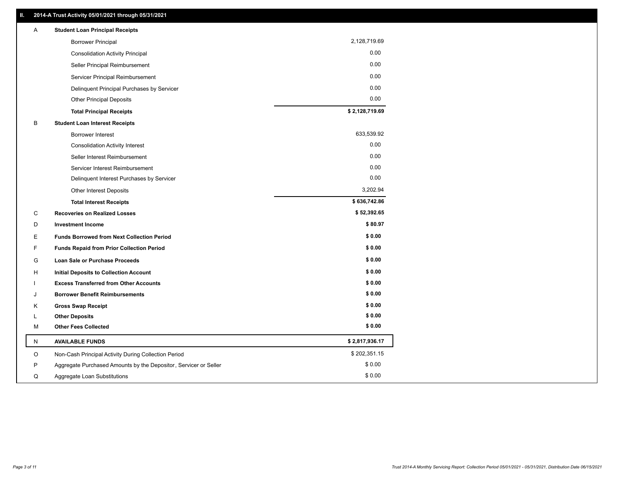| 2,128,719.69<br><b>Borrower Principal</b><br>0.00<br><b>Consolidation Activity Principal</b><br>0.00<br>Seller Principal Reimbursement<br>0.00<br>Servicer Principal Reimbursement<br>0.00<br>Delinquent Principal Purchases by Servicer<br>0.00<br><b>Other Principal Deposits</b><br>\$2,128,719.69<br><b>Total Principal Receipts</b><br>B<br><b>Student Loan Interest Receipts</b><br>633,539.92<br><b>Borrower Interest</b><br>0.00<br><b>Consolidation Activity Interest</b><br>0.00<br>Seller Interest Reimbursement<br>0.00<br>Servicer Interest Reimbursement<br>0.00<br>Delinquent Interest Purchases by Servicer<br>3,202.94<br><b>Other Interest Deposits</b><br>\$636,742.86<br><b>Total Interest Receipts</b><br>C<br>\$52,392.65<br><b>Recoveries on Realized Losses</b><br>\$80.97<br>D<br><b>Investment Income</b><br>\$0.00<br>E<br><b>Funds Borrowed from Next Collection Period</b><br>\$0.00<br>F<br>Funds Repaid from Prior Collection Period<br>\$0.00<br>G<br>Loan Sale or Purchase Proceeds<br>\$0.00<br>н<br>Initial Deposits to Collection Account<br>\$0.00<br><b>Excess Transferred from Other Accounts</b><br>\$0.00<br><b>Borrower Benefit Reimbursements</b><br>J<br>\$0.00<br>κ<br><b>Gross Swap Receipt</b><br>\$0.00<br><b>Other Deposits</b><br>Г | Α | <b>Student Loan Principal Receipts</b> |        |
|---------------------------------------------------------------------------------------------------------------------------------------------------------------------------------------------------------------------------------------------------------------------------------------------------------------------------------------------------------------------------------------------------------------------------------------------------------------------------------------------------------------------------------------------------------------------------------------------------------------------------------------------------------------------------------------------------------------------------------------------------------------------------------------------------------------------------------------------------------------------------------------------------------------------------------------------------------------------------------------------------------------------------------------------------------------------------------------------------------------------------------------------------------------------------------------------------------------------------------------------------------------------------------------|---|----------------------------------------|--------|
|                                                                                                                                                                                                                                                                                                                                                                                                                                                                                                                                                                                                                                                                                                                                                                                                                                                                                                                                                                                                                                                                                                                                                                                                                                                                                       |   |                                        |        |
|                                                                                                                                                                                                                                                                                                                                                                                                                                                                                                                                                                                                                                                                                                                                                                                                                                                                                                                                                                                                                                                                                                                                                                                                                                                                                       |   |                                        |        |
|                                                                                                                                                                                                                                                                                                                                                                                                                                                                                                                                                                                                                                                                                                                                                                                                                                                                                                                                                                                                                                                                                                                                                                                                                                                                                       |   |                                        |        |
|                                                                                                                                                                                                                                                                                                                                                                                                                                                                                                                                                                                                                                                                                                                                                                                                                                                                                                                                                                                                                                                                                                                                                                                                                                                                                       |   |                                        |        |
|                                                                                                                                                                                                                                                                                                                                                                                                                                                                                                                                                                                                                                                                                                                                                                                                                                                                                                                                                                                                                                                                                                                                                                                                                                                                                       |   |                                        |        |
|                                                                                                                                                                                                                                                                                                                                                                                                                                                                                                                                                                                                                                                                                                                                                                                                                                                                                                                                                                                                                                                                                                                                                                                                                                                                                       |   |                                        |        |
|                                                                                                                                                                                                                                                                                                                                                                                                                                                                                                                                                                                                                                                                                                                                                                                                                                                                                                                                                                                                                                                                                                                                                                                                                                                                                       |   |                                        |        |
|                                                                                                                                                                                                                                                                                                                                                                                                                                                                                                                                                                                                                                                                                                                                                                                                                                                                                                                                                                                                                                                                                                                                                                                                                                                                                       |   |                                        |        |
|                                                                                                                                                                                                                                                                                                                                                                                                                                                                                                                                                                                                                                                                                                                                                                                                                                                                                                                                                                                                                                                                                                                                                                                                                                                                                       |   |                                        |        |
|                                                                                                                                                                                                                                                                                                                                                                                                                                                                                                                                                                                                                                                                                                                                                                                                                                                                                                                                                                                                                                                                                                                                                                                                                                                                                       |   |                                        |        |
|                                                                                                                                                                                                                                                                                                                                                                                                                                                                                                                                                                                                                                                                                                                                                                                                                                                                                                                                                                                                                                                                                                                                                                                                                                                                                       |   |                                        |        |
|                                                                                                                                                                                                                                                                                                                                                                                                                                                                                                                                                                                                                                                                                                                                                                                                                                                                                                                                                                                                                                                                                                                                                                                                                                                                                       |   |                                        |        |
|                                                                                                                                                                                                                                                                                                                                                                                                                                                                                                                                                                                                                                                                                                                                                                                                                                                                                                                                                                                                                                                                                                                                                                                                                                                                                       |   |                                        |        |
|                                                                                                                                                                                                                                                                                                                                                                                                                                                                                                                                                                                                                                                                                                                                                                                                                                                                                                                                                                                                                                                                                                                                                                                                                                                                                       |   |                                        |        |
|                                                                                                                                                                                                                                                                                                                                                                                                                                                                                                                                                                                                                                                                                                                                                                                                                                                                                                                                                                                                                                                                                                                                                                                                                                                                                       |   |                                        |        |
|                                                                                                                                                                                                                                                                                                                                                                                                                                                                                                                                                                                                                                                                                                                                                                                                                                                                                                                                                                                                                                                                                                                                                                                                                                                                                       |   |                                        |        |
|                                                                                                                                                                                                                                                                                                                                                                                                                                                                                                                                                                                                                                                                                                                                                                                                                                                                                                                                                                                                                                                                                                                                                                                                                                                                                       |   |                                        |        |
|                                                                                                                                                                                                                                                                                                                                                                                                                                                                                                                                                                                                                                                                                                                                                                                                                                                                                                                                                                                                                                                                                                                                                                                                                                                                                       |   |                                        |        |
|                                                                                                                                                                                                                                                                                                                                                                                                                                                                                                                                                                                                                                                                                                                                                                                                                                                                                                                                                                                                                                                                                                                                                                                                                                                                                       |   |                                        |        |
|                                                                                                                                                                                                                                                                                                                                                                                                                                                                                                                                                                                                                                                                                                                                                                                                                                                                                                                                                                                                                                                                                                                                                                                                                                                                                       |   |                                        |        |
|                                                                                                                                                                                                                                                                                                                                                                                                                                                                                                                                                                                                                                                                                                                                                                                                                                                                                                                                                                                                                                                                                                                                                                                                                                                                                       |   |                                        |        |
|                                                                                                                                                                                                                                                                                                                                                                                                                                                                                                                                                                                                                                                                                                                                                                                                                                                                                                                                                                                                                                                                                                                                                                                                                                                                                       |   |                                        |        |
|                                                                                                                                                                                                                                                                                                                                                                                                                                                                                                                                                                                                                                                                                                                                                                                                                                                                                                                                                                                                                                                                                                                                                                                                                                                                                       |   |                                        |        |
|                                                                                                                                                                                                                                                                                                                                                                                                                                                                                                                                                                                                                                                                                                                                                                                                                                                                                                                                                                                                                                                                                                                                                                                                                                                                                       |   |                                        |        |
|                                                                                                                                                                                                                                                                                                                                                                                                                                                                                                                                                                                                                                                                                                                                                                                                                                                                                                                                                                                                                                                                                                                                                                                                                                                                                       |   |                                        |        |
|                                                                                                                                                                                                                                                                                                                                                                                                                                                                                                                                                                                                                                                                                                                                                                                                                                                                                                                                                                                                                                                                                                                                                                                                                                                                                       | М | <b>Other Fees Collected</b>            | \$0.00 |
| \$2,817,936.17<br><b>AVAILABLE FUNDS</b><br>N                                                                                                                                                                                                                                                                                                                                                                                                                                                                                                                                                                                                                                                                                                                                                                                                                                                                                                                                                                                                                                                                                                                                                                                                                                         |   |                                        |        |
| \$202,351.15<br>O<br>Non-Cash Principal Activity During Collection Period                                                                                                                                                                                                                                                                                                                                                                                                                                                                                                                                                                                                                                                                                                                                                                                                                                                                                                                                                                                                                                                                                                                                                                                                             |   |                                        |        |
| \$0.00<br>P<br>Aggregate Purchased Amounts by the Depositor, Servicer or Seller                                                                                                                                                                                                                                                                                                                                                                                                                                                                                                                                                                                                                                                                                                                                                                                                                                                                                                                                                                                                                                                                                                                                                                                                       |   |                                        |        |
| \$0.00<br>Q<br>Aggregate Loan Substitutions                                                                                                                                                                                                                                                                                                                                                                                                                                                                                                                                                                                                                                                                                                                                                                                                                                                                                                                                                                                                                                                                                                                                                                                                                                           |   |                                        |        |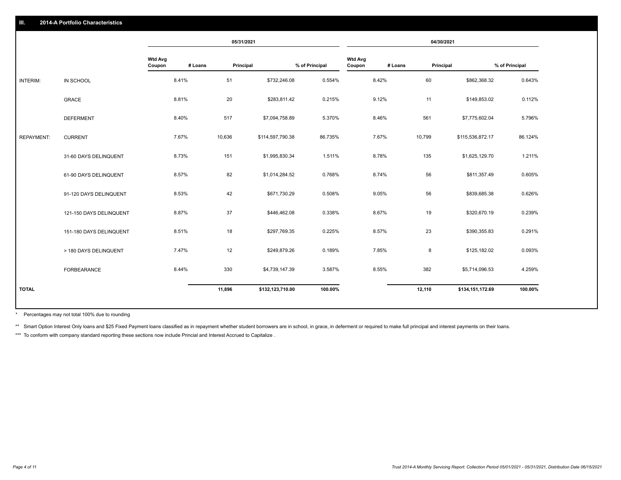|                   |                         |                          |         | 05/31/2021 |                  |                |                          |         | 04/30/2021 |                  |                |
|-------------------|-------------------------|--------------------------|---------|------------|------------------|----------------|--------------------------|---------|------------|------------------|----------------|
|                   |                         | <b>Wtd Avg</b><br>Coupon | # Loans | Principal  |                  | % of Principal | <b>Wtd Avg</b><br>Coupon | # Loans | Principal  |                  | % of Principal |
| <b>INTERIM:</b>   | IN SCHOOL               |                          | 8.41%   | 51         | \$732,246.08     | 0.554%         |                          | 8.42%   | 60         | \$862,368.32     | 0.643%         |
|                   | <b>GRACE</b>            |                          | 8.81%   | 20         | \$283,811.42     | 0.215%         |                          | 9.12%   | 11         | \$149,853.02     | 0.112%         |
|                   | <b>DEFERMENT</b>        |                          | 8.40%   | 517        | \$7,094,758.89   | 5.370%         |                          | 8.46%   | 561        | \$7,775,602.04   | 5.796%         |
| <b>REPAYMENT:</b> | <b>CURRENT</b>          |                          | 7.67%   | 10,636     | \$114,597,790.38 | 86.735%        |                          | 7.67%   | 10,799     | \$115,536,872.17 | 86.124%        |
|                   | 31-60 DAYS DELINQUENT   |                          | 8.73%   | 151        | \$1,995,830.34   | 1.511%         |                          | 8.78%   | 135        | \$1,625,129.70   | 1.211%         |
|                   | 61-90 DAYS DELINQUENT   |                          | 8.57%   | 82         | \$1,014,284.52   | 0.768%         |                          | 8.74%   | 56         | \$811,357.49     | 0.605%         |
|                   | 91-120 DAYS DELINQUENT  |                          | 8.53%   | 42         | \$671,730.29     | 0.508%         |                          | 9.05%   | 56         | \$839,685.38     | 0.626%         |
|                   | 121-150 DAYS DELINQUENT |                          | 8.87%   | 37         | \$446,462.08     | 0.338%         |                          | 8.67%   | 19         | \$320,670.19     | 0.239%         |
|                   | 151-180 DAYS DELINQUENT |                          | 8.51%   | 18         | \$297,769.35     | 0.225%         |                          | 8.57%   | 23         | \$390,355.83     | 0.291%         |
|                   | > 180 DAYS DELINQUENT   |                          | 7.47%   | 12         | \$249,879.26     | 0.189%         |                          | 7.85%   | 8          | \$125,182.02     | 0.093%         |
|                   | <b>FORBEARANCE</b>      |                          | 8.44%   | 330        | \$4,739,147.39   | 3.587%         |                          | 8.55%   | 382        | \$5,714,096.53   | 4.259%         |
| <b>TOTAL</b>      |                         |                          |         | 11,896     | \$132,123,710.00 | 100.00%        |                          |         | 12,110     | \$134,151,172.69 | 100.00%        |
|                   |                         |                          |         |            |                  |                |                          |         |            |                  |                |

Percentages may not total 100% due to rounding \*

\*\* Smart Option Interest Only loans and \$25 Fixed Payment loans classified as in repayment whether student borrowers are in school, in grace, in deferment or required to make full principal and interest payments on their l

\*\*\* To conform with company standard reporting these sections now include Princial and Interest Accrued to Capitalize .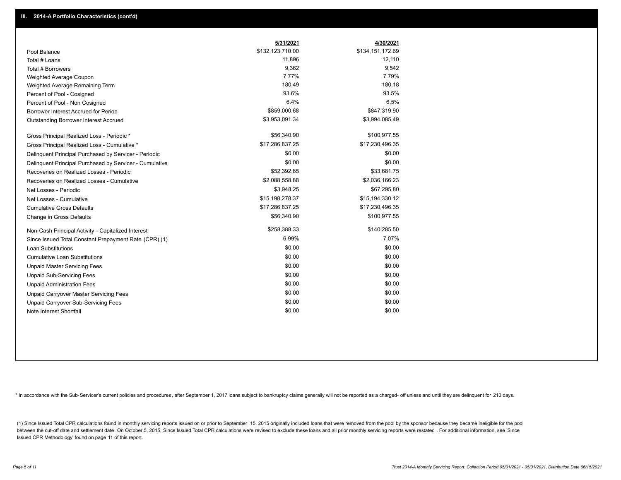|                                                         | 5/31/2021        | 4/30/2021        |
|---------------------------------------------------------|------------------|------------------|
| Pool Balance                                            | \$132,123,710.00 | \$134,151,172.69 |
| Total # Loans                                           | 11,896           | 12,110           |
| Total # Borrowers                                       | 9,362            | 9,542            |
| Weighted Average Coupon                                 | 7.77%            | 7.79%            |
| Weighted Average Remaining Term                         | 180.49           | 180.18           |
| Percent of Pool - Cosigned                              | 93.6%            | 93.5%            |
| Percent of Pool - Non Cosigned                          | 6.4%             | 6.5%             |
| Borrower Interest Accrued for Period                    | \$859,000.68     | \$847,319.90     |
| Outstanding Borrower Interest Accrued                   | \$3,953,091.34   | \$3,994,085.49   |
| Gross Principal Realized Loss - Periodic *              | \$56,340.90      | \$100,977.55     |
| Gross Principal Realized Loss - Cumulative *            | \$17,286,837.25  | \$17,230,496.35  |
| Delinquent Principal Purchased by Servicer - Periodic   | \$0.00           | \$0.00           |
| Delinquent Principal Purchased by Servicer - Cumulative | \$0.00           | \$0.00           |
| Recoveries on Realized Losses - Periodic                | \$52,392.65      | \$33,681.75      |
| Recoveries on Realized Losses - Cumulative              | \$2,088,558.88   | \$2,036,166.23   |
| Net Losses - Periodic                                   | \$3,948.25       | \$67,295.80      |
| Net Losses - Cumulative                                 | \$15,198,278.37  | \$15,194,330.12  |
| <b>Cumulative Gross Defaults</b>                        | \$17,286,837.25  | \$17,230,496.35  |
| Change in Gross Defaults                                | \$56,340.90      | \$100,977.55     |
| Non-Cash Principal Activity - Capitalized Interest      | \$258,388.33     | \$140,285.50     |
| Since Issued Total Constant Prepayment Rate (CPR) (1)   | 6.99%            | 7.07%            |
| <b>Loan Substitutions</b>                               | \$0.00           | \$0.00           |
| <b>Cumulative Loan Substitutions</b>                    | \$0.00           | \$0.00           |
| <b>Unpaid Master Servicing Fees</b>                     | \$0.00           | \$0.00           |
| <b>Unpaid Sub-Servicing Fees</b>                        | \$0.00           | \$0.00           |
| <b>Unpaid Administration Fees</b>                       | \$0.00           | \$0.00           |
| Unpaid Carryover Master Servicing Fees                  | \$0.00           | \$0.00           |
| Unpaid Carryover Sub-Servicing Fees                     | \$0.00           | \$0.00           |
| Note Interest Shortfall                                 | \$0.00           | \$0.00           |

\* In accordance with the Sub-Servicer's current policies and procedures, after September 1, 2017 loans subject to bankruptcy claims generally will not be reported as a charged- off unless and until they are delinquent for

(1) Since Issued Total CPR calculations found in monthly servicing reports issued on or prior to September 15, 2015 originally included loans that were removed from the pool by the sponsor because they became ineligible fo between the cut-off date and settlement date. On October 5, 2015, Since Issued Total CPR calculations were revised to exclude these loans and all prior monthly servicing reports were restated. For additional information, s Issued CPR Methodology' found on page 11 of this report.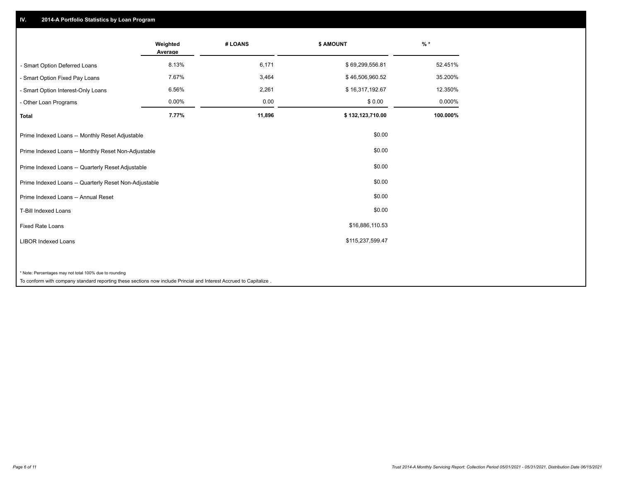## **IV. 2014-A Portfolio Statistics by Loan Program**

|                                                                                                                                                                              | Weighted<br>Average | # LOANS | \$ AMOUNT        | $%$ *    |
|------------------------------------------------------------------------------------------------------------------------------------------------------------------------------|---------------------|---------|------------------|----------|
| - Smart Option Deferred Loans                                                                                                                                                | 8.13%               | 6,171   | \$69,299,556.81  | 52.451%  |
| - Smart Option Fixed Pay Loans                                                                                                                                               | 7.67%               | 3,464   | \$46,506,960.52  | 35.200%  |
| - Smart Option Interest-Only Loans                                                                                                                                           | 6.56%               | 2,261   | \$16,317,192.67  | 12.350%  |
| - Other Loan Programs                                                                                                                                                        | 0.00%               | 0.00    | \$0.00           | 0.000%   |
| <b>Total</b>                                                                                                                                                                 | 7.77%               | 11,896  | \$132,123,710.00 | 100.000% |
| Prime Indexed Loans -- Monthly Reset Adjustable                                                                                                                              |                     |         | \$0.00           |          |
| Prime Indexed Loans -- Monthly Reset Non-Adjustable                                                                                                                          |                     |         | \$0.00           |          |
| Prime Indexed Loans -- Quarterly Reset Adjustable                                                                                                                            |                     |         | \$0.00           |          |
| Prime Indexed Loans -- Quarterly Reset Non-Adjustable                                                                                                                        |                     |         | \$0.00           |          |
| Prime Indexed Loans -- Annual Reset                                                                                                                                          |                     |         | \$0.00           |          |
| <b>T-Bill Indexed Loans</b>                                                                                                                                                  |                     |         | \$0.00           |          |
| <b>Fixed Rate Loans</b>                                                                                                                                                      |                     |         | \$16,886,110.53  |          |
| <b>LIBOR Indexed Loans</b>                                                                                                                                                   |                     |         | \$115,237,599.47 |          |
| * Note: Percentages may not total 100% due to rounding<br>To conform with company standard reporting these sections now include Princial and Interest Accrued to Capitalize. |                     |         |                  |          |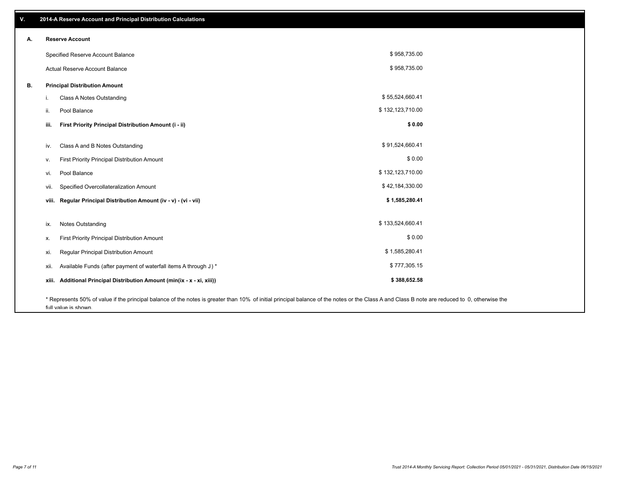| ٧. |       | 2014-A Reserve Account and Principal Distribution Calculations                                                                                                                                                        |                  |  |
|----|-------|-----------------------------------------------------------------------------------------------------------------------------------------------------------------------------------------------------------------------|------------------|--|
| А. |       | <b>Reserve Account</b>                                                                                                                                                                                                |                  |  |
|    |       | Specified Reserve Account Balance                                                                                                                                                                                     | \$958,735.00     |  |
|    |       | Actual Reserve Account Balance                                                                                                                                                                                        | \$958,735.00     |  |
| В. |       | <b>Principal Distribution Amount</b>                                                                                                                                                                                  |                  |  |
|    | i.    | Class A Notes Outstanding                                                                                                                                                                                             | \$55,524,660.41  |  |
|    | ii.   | Pool Balance                                                                                                                                                                                                          | \$132,123,710.00 |  |
|    | iii.  | First Priority Principal Distribution Amount (i - ii)                                                                                                                                                                 | \$0.00           |  |
|    |       |                                                                                                                                                                                                                       |                  |  |
|    | iv.   | Class A and B Notes Outstanding                                                                                                                                                                                       | \$91,524,660.41  |  |
|    | ν.    | First Priority Principal Distribution Amount                                                                                                                                                                          | \$0.00           |  |
|    | vi.   | Pool Balance                                                                                                                                                                                                          | \$132,123,710.00 |  |
|    | vii.  | Specified Overcollateralization Amount                                                                                                                                                                                | \$42,184,330.00  |  |
|    | viii. | Regular Principal Distribution Amount (iv - v) - (vi - vii)                                                                                                                                                           | \$1,585,280.41   |  |
|    |       |                                                                                                                                                                                                                       |                  |  |
|    | ix.   | <b>Notes Outstanding</b>                                                                                                                                                                                              | \$133,524,660.41 |  |
|    | х.    | First Priority Principal Distribution Amount                                                                                                                                                                          | \$0.00           |  |
|    | xi.   | Regular Principal Distribution Amount                                                                                                                                                                                 | \$1,585,280.41   |  |
|    | xii.  | Available Funds (after payment of waterfall items A through J) *                                                                                                                                                      | \$777,305.15     |  |
|    | xiii. | Additional Principal Distribution Amount (min(ix - x - xi, xiii))                                                                                                                                                     | \$388,652.58     |  |
|    |       | * Represents 50% of value if the principal balance of the notes is greater than 10% of initial principal balance of the notes or the Class A and Class B note are reduced to 0, otherwise the<br>full value is shown. |                  |  |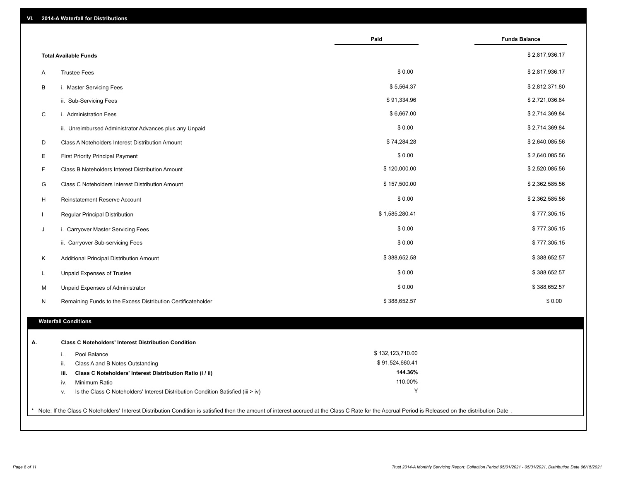| VI. | 2014-A Waterfall for Distributions                                                                                                                                                                    |                  |                      |
|-----|-------------------------------------------------------------------------------------------------------------------------------------------------------------------------------------------------------|------------------|----------------------|
|     |                                                                                                                                                                                                       | Paid             | <b>Funds Balance</b> |
|     | <b>Total Available Funds</b>                                                                                                                                                                          |                  | \$2,817,936.17       |
| Α   | <b>Trustee Fees</b>                                                                                                                                                                                   | \$0.00           | \$2,817,936.17       |
| В   | i. Master Servicing Fees                                                                                                                                                                              | \$5,564.37       | \$2,812,371.80       |
|     | ii. Sub-Servicing Fees                                                                                                                                                                                | \$91,334.96      | \$2,721,036.84       |
| C   | i. Administration Fees                                                                                                                                                                                | \$6,667.00       | \$2,714,369.84       |
|     | ii. Unreimbursed Administrator Advances plus any Unpaid                                                                                                                                               | \$0.00           | \$2,714,369.84       |
| D   | Class A Noteholders Interest Distribution Amount                                                                                                                                                      | \$74,284.28      | \$2,640,085.56       |
| Е   | <b>First Priority Principal Payment</b>                                                                                                                                                               | \$0.00           | \$2,640,085.56       |
| F.  | Class B Noteholders Interest Distribution Amount                                                                                                                                                      | \$120,000.00     | \$2,520,085.56       |
| G   | Class C Noteholders Interest Distribution Amount                                                                                                                                                      | \$157,500.00     | \$2,362,585.56       |
| H   | Reinstatement Reserve Account                                                                                                                                                                         | \$0.00           | \$2,362,585.56       |
|     | Regular Principal Distribution                                                                                                                                                                        | \$1,585,280.41   | \$777,305.15         |
| J   | i. Carryover Master Servicing Fees                                                                                                                                                                    | \$0.00           | \$777,305.15         |
|     | ii. Carryover Sub-servicing Fees                                                                                                                                                                      | \$0.00           | \$777,305.15         |
| Κ   | Additional Principal Distribution Amount                                                                                                                                                              | \$388,652.58     | \$388,652.57         |
| L   | Unpaid Expenses of Trustee                                                                                                                                                                            | \$0.00           | \$388,652.57         |
| М   | Unpaid Expenses of Administrator                                                                                                                                                                      | \$0.00           | \$388,652.57         |
| N   | Remaining Funds to the Excess Distribution Certificateholder                                                                                                                                          | \$388,652.57     | \$0.00               |
|     | <b>Waterfall Conditions</b>                                                                                                                                                                           |                  |                      |
|     |                                                                                                                                                                                                       |                  |                      |
| А.  | <b>Class C Noteholders' Interest Distribution Condition</b>                                                                                                                                           |                  |                      |
|     | Pool Balance<br>i.                                                                                                                                                                                    | \$132,123,710.00 |                      |
|     | Class A and B Notes Outstanding<br>ii.                                                                                                                                                                | \$91,524,660.41  |                      |
|     | Class C Noteholders' Interest Distribution Ratio (i / ii)<br>iii.                                                                                                                                     | 144.36%          |                      |
|     | Minimum Ratio<br>iv.                                                                                                                                                                                  | 110.00%          |                      |
|     | Is the Class C Noteholders' Interest Distribution Condition Satisfied (iii > iv)<br>v.                                                                                                                | Υ                |                      |
|     | * Note: If the Class C Noteholders' Interest Distribution Condition is satisfied then the amount of interest accrued at the Class C Rate for the Accrual Period is Released on the distribution Date. |                  |                      |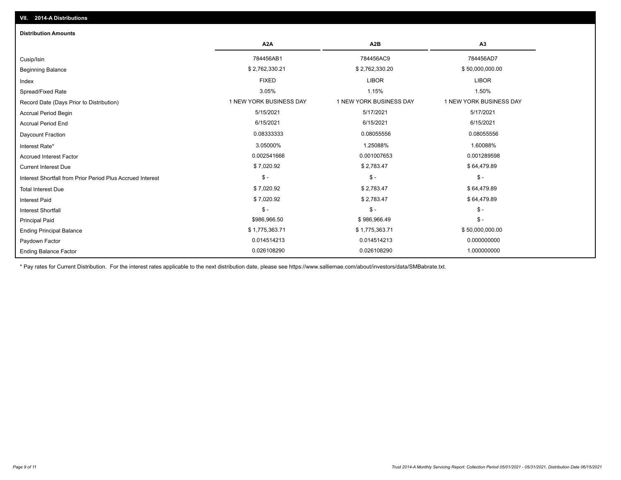| <b>Distribution Amounts</b>                                |                         |                         |                         |
|------------------------------------------------------------|-------------------------|-------------------------|-------------------------|
|                                                            | A <sub>2</sub> A        | A <sub>2</sub> B        | A <sub>3</sub>          |
| Cusip/Isin                                                 | 784456AB1               | 784456AC9               | 784456AD7               |
| <b>Beginning Balance</b>                                   | \$2,762,330.21          | \$2,762,330.20          | \$50,000,000.00         |
| Index                                                      | <b>FIXED</b>            | <b>LIBOR</b>            | <b>LIBOR</b>            |
| Spread/Fixed Rate                                          | 3.05%                   | 1.15%                   | 1.50%                   |
| Record Date (Days Prior to Distribution)                   | 1 NEW YORK BUSINESS DAY | 1 NEW YORK BUSINESS DAY | 1 NEW YORK BUSINESS DAY |
| <b>Accrual Period Begin</b>                                | 5/15/2021               | 5/17/2021               | 5/17/2021               |
| <b>Accrual Period End</b>                                  | 6/15/2021               | 6/15/2021               | 6/15/2021               |
| <b>Daycount Fraction</b>                                   | 0.08333333              | 0.08055556              | 0.08055556              |
| Interest Rate*                                             | 3.05000%                | 1.25088%                | 1.60088%                |
| <b>Accrued Interest Factor</b>                             | 0.002541666             | 0.001007653             | 0.001289598             |
| <b>Current Interest Due</b>                                | \$7,020.92              | \$2,783.47              | \$64,479.89             |
| Interest Shortfall from Prior Period Plus Accrued Interest | $$ -$                   | $\mathsf{\$}$ -         | $\mathsf{\$}$ -         |
| <b>Total Interest Due</b>                                  | \$7,020.92              | \$2,783.47              | \$64,479.89             |
| <b>Interest Paid</b>                                       | \$7,020.92              | \$2,783.47              | \$64,479.89             |
| <b>Interest Shortfall</b>                                  | $$ -$                   | $\mathsf{\$}$ -         | $$ -$                   |
| <b>Principal Paid</b>                                      | \$986,966.50            | \$986,966.49            | $$ -$                   |
| <b>Ending Principal Balance</b>                            | \$1,775,363.71          | \$1,775,363.71          | \$50,000,000.00         |
| Paydown Factor                                             | 0.014514213             | 0.014514213             | 0.000000000             |
| <b>Ending Balance Factor</b>                               | 0.026108290             | 0.026108290             | 1.000000000             |

\* Pay rates for Current Distribution. For the interest rates applicable to the next distribution date, please see https://www.salliemae.com/about/investors/data/SMBabrate.txt.

**VII. 2014-A Distributions**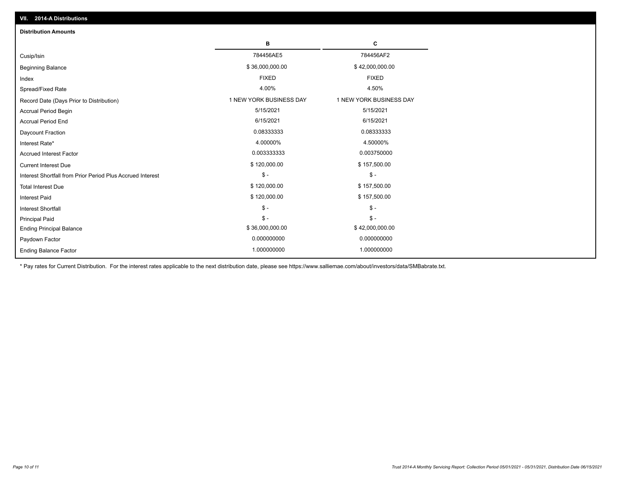| <b>Distribution Amounts</b>                                |                         |                         |
|------------------------------------------------------------|-------------------------|-------------------------|
|                                                            | в                       | C                       |
| Cusip/Isin                                                 | 784456AE5               | 784456AF2               |
| <b>Beginning Balance</b>                                   | \$36,000,000.00         | \$42,000,000.00         |
| Index                                                      | <b>FIXED</b>            | <b>FIXED</b>            |
| Spread/Fixed Rate                                          | 4.00%                   | 4.50%                   |
| Record Date (Days Prior to Distribution)                   | 1 NEW YORK BUSINESS DAY | 1 NEW YORK BUSINESS DAY |
| <b>Accrual Period Begin</b>                                | 5/15/2021               | 5/15/2021               |
| <b>Accrual Period End</b>                                  | 6/15/2021               | 6/15/2021               |
| Daycount Fraction                                          | 0.08333333              | 0.08333333              |
| Interest Rate*                                             | 4.00000%                | 4.50000%                |
| <b>Accrued Interest Factor</b>                             | 0.003333333             | 0.003750000             |
| <b>Current Interest Due</b>                                | \$120,000.00            | \$157,500.00            |
| Interest Shortfall from Prior Period Plus Accrued Interest | $\mathsf{\$}$ -         | $\mathsf{\$}$ -         |
| <b>Total Interest Due</b>                                  | \$120,000.00            | \$157,500.00            |
| <b>Interest Paid</b>                                       | \$120,000.00            | \$157,500.00            |
| Interest Shortfall                                         | $\frac{1}{2}$           | $$ -$                   |
| <b>Principal Paid</b>                                      | $\mathsf{\$}$ -         | $\frac{1}{2}$           |
| <b>Ending Principal Balance</b>                            | \$36,000,000.00         | \$42,000,000.00         |
| Paydown Factor                                             | 0.000000000             | 0.000000000             |
| <b>Ending Balance Factor</b>                               | 1.000000000             | 1.000000000             |

\* Pay rates for Current Distribution. For the interest rates applicable to the next distribution date, please see https://www.salliemae.com/about/investors/data/SMBabrate.txt.

**VII. 2014-A Distributions**